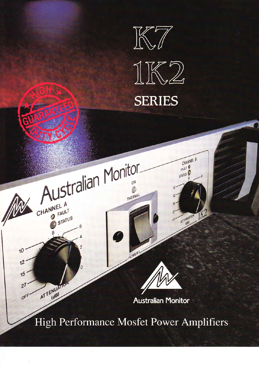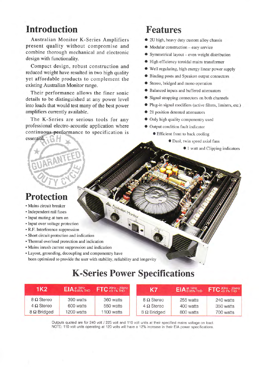#### **Introduction**

Australian Monitor K-Series Amplifiers present quality without compromise and combine thorough mechanical and electronic design with functionality.

Compact design, robust construction and reduced weight have resulted in two high quality yet affordable products to complement the existing Australian Monitor range.

Their performance allows the finer sonic details to be distinguished at any power level into loads that would test many of the best power amplifiers currently available.

The K-Series are serious tools for any professional electro-acoustic application where continuous performance to specification is essential.

# Features

- o 2U high, heavy duty custom alloy chassis
- $\bullet$  Modular construction easy service
- <sup>O</sup>Symmetrical layout even weight distribution
- $\bullet$  High efficiency toroidal mains transformer
- o Well regulating, high energy linear power supply
- O Binding posts and Speakon output connectors
- o Stereo. bridged and mono operation
- o Balanced inputs and buffered attenuators
- o Signal strapping connectors on both channels
- o Plug-in signal modifiers (active filters, limiters, etc.)
- $\bullet$  21 position detented attenuators
- Only high quality componentry used
- $\bullet$  Output condition fault indicator
	- **Efficient front to back cooling** 
		- o Dual, twin speed axial fans
			- $\bullet$  1 watt and Clipping indicators

#### Protection

RANT

- . Mains circuit breaker
- . Independent rail fuses
- . Input muting at tum on
- . Input over voltage protection
- . R.F. Interference suppression
- . Short circuit protection and indication
- . Thermal overload protection and indication
- . Mains inrush current suppression and indication
- Layout, grounding, decoupling and componentry have been optimized to provide the user with stability, reliability and longevity

# K-Series Power Specifications

Istralian Monitor

| 1K2                | $EIA_{0.05\%}^{at 1kHz}$ <sub>1HD</sub> | $FTC_{< 0.1\%}^{20 Hz - 20 kHz}$ | K7                 |           | $\left  \right.$ EIA at 1kHz<br>THD FTC 20Hz - 20KHz |
|--------------------|-----------------------------------------|----------------------------------|--------------------|-----------|------------------------------------------------------|
| $8 \Omega$ Stereo  | 390 watts                               | 360 watts                        | $8 \Omega$ Stereo  | 255 watts | 240 watts                                            |
| $4 \Omega$ Stereo  | 600 watts                               | 550 watts                        | $4 \Omega$ Stereo  | 400 watts | 350 watts                                            |
| $8 \Omega$ Bridged | 1200 watts                              | 1100 watts                       | $8 \Omega$ Bridged | 800 watts | 700 watts                                            |

Outputs quoted are for 240 volt / 225 volt and 110 volt units at their specified mains voltage on load. NOTE: 110 volt units operating at 120 volts will have a 12% increase in their EIA power specifications.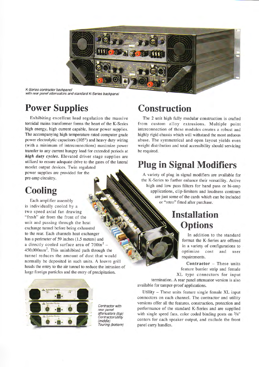

K-Series contractor backpanel with rear panel attenuators and standard K-Series backpanel

## Power Supplies

Exhibiting excellent load regulation the massive toroidal mains transformer forms the heart of the K-Series high energy, high current capable, linear power supplies. The accompanying high temperafure rated computer grade power electrolytic capacitors (105') and heavy duty wiring (with a minimum of interconnections) maximize power transfer to any current hungry load for extended periods at high duty cycles. Elevated driver stage supplies are utilized to ensure adequate drive to the gates of the lateral mosfet output devices. Twin regulated

power supplies are provided for the pre-amp circuitry.

# **Cooling**

Each amplifier assembly is individually cooled by <sup>a</sup> two speed axial fan drawing "fresh" air from the front of the unit and passing through the heat exchange tunnel before being exhausted to the rear. Each channels heat exchanger has a perimeter of 59 inches (1.5 meters) and a directly cooled surface area of  $700in^2$  lW 450,000mm2. This uninhibited path through the tunnel reduces the amount of dust that would normally be deposited in such units. A louvre grill heads the entry to the air tunnel to reduce the intrusion of large foreign particles and the entry of precipitation.



Contractor with rear panel attenuators (top) Contractor/utility (middle) Touring (bottom)

#### Construction

The 2 unit high fully modular construction is crafted from custom alloy extrusions. Multiple point interconnection of these modules creates a robust and highly rigid chassis which will withstand the most arduous abuse. The symmetrical and open layout yields even weight distribution and total accessibility should servicing be required.

## Plug in Signal Modifiers

A variety of plug in signal modifiers are available for the K-Series to further enhance their versatility. Active high and low pass filters for band pass or bi-amp applications, clip-limiters and loudness contours are just some of the cards which can be included or "retro" fitted after purchase.

## Installation **Options**

In addition to the standard format the K-Series are offered in a variety of configurations to optimize cost and user requirements.

 $Contractor - These units$ feature barrier strip and female XL type connectors for input

termination. A rear panel attenuator version is also available for tamper-proof applications.

Utility - These units feature single female XL input connectors on each channel. The contractor and utility versions offer all the features, construction, protection and performance of the standard K-Series and are supplied with single speed fans, color coded binding posts on 3/4" centers for each speaker output, and exclude the front panel carry handles.